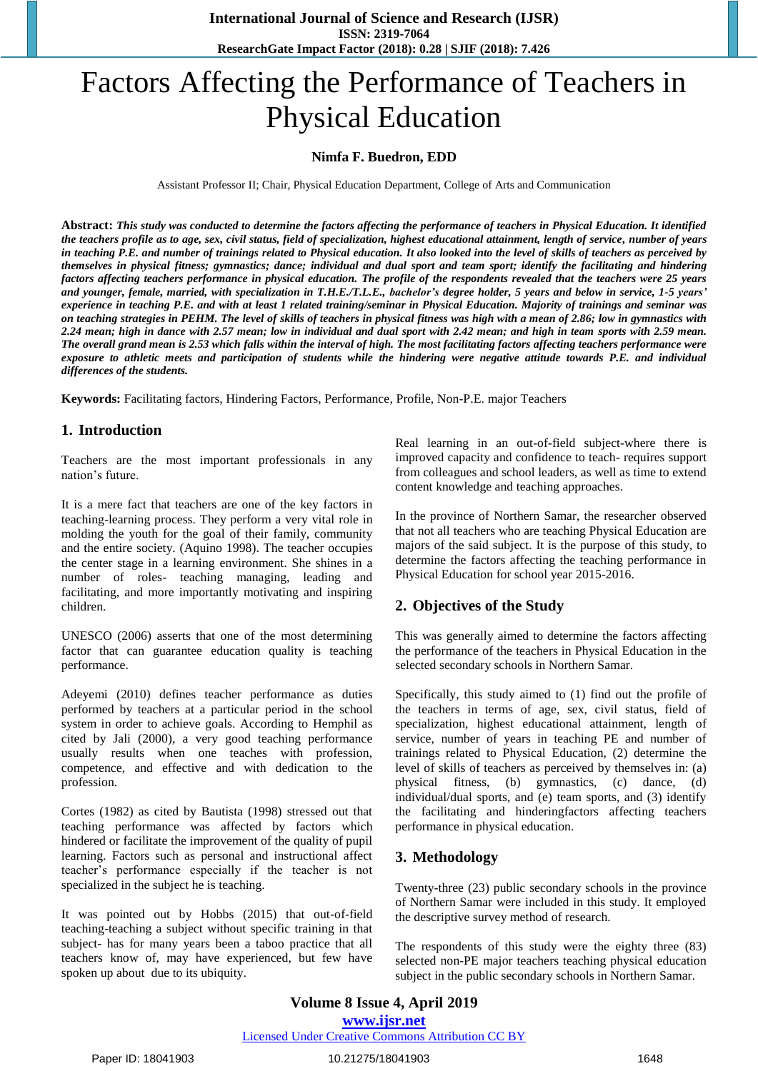# Factors Affecting the Performance of Teachers in Physical Education

#### **Nimfa F. Buedron, EDD**

Assistant Professor II; Chair, Physical Education Department, College of Arts and Communication

**Abstract:** *This study was conducted to determine the factors affecting the performance of teachers in Physical Education. It identified the teachers profile as to age, sex, civil status, field of specialization, highest educational attainment, length of service, number of years in teaching P.E. and number of trainings related to Physical education. It also looked into the level of skills of teachers as perceived by themselves in physical fitness; gymnastics; dance; individual and dual sport and team sport; identify the facilitating and hindering factors affecting teachers performance in physical education. The profile of the respondents revealed that the teachers were 25 years and younger, female, married, with specialization in T.H.E./T.L.E., bachelor's degree holder, 5 years and below in service, 1-5 years' experience in teaching P.E. and with at least 1 related training/seminar in Physical Education. Majority of trainings and seminar was on teaching strategies in PEHM. The level of skills of teachers in physical fitness was high with a mean of 2.86; low in gymnastics with 2.24 mean; high in dance with 2.57 mean; low in individual and dual sport with 2.42 mean; and high in team sports with 2.59 mean. The overall grand mean is 2.53 which falls within the interval of high. The most facilitating factors affecting teachers performance were exposure to athletic meets and participation of students while the hindering were negative attitude towards P.E. and individual differences of the students.*

**Keywords:** Facilitating factors, Hindering Factors, Performance, Profile, Non-P.E. major Teachers

#### **1. Introduction**

Teachers are the most important professionals in any nation's future.

It is a mere fact that teachers are one of the key factors in teaching-learning process. They perform a very vital role in molding the youth for the goal of their family, community and the entire society. (Aquino 1998). The teacher occupies the center stage in a learning environment. She shines in a number of roles- teaching managing, leading and facilitating, and more importantly motivating and inspiring children.

UNESCO (2006) asserts that one of the most determining factor that can guarantee education quality is teaching performance.

Adeyemi (2010) defines teacher performance as duties performed by teachers at a particular period in the school system in order to achieve goals. According to Hemphil as cited by Jali (2000), a very good teaching performance usually results when one teaches with profession, competence, and effective and with dedication to the profession.

Cortes (1982) as cited by Bautista (1998) stressed out that teaching performance was affected by factors which hindered or facilitate the improvement of the quality of pupil learning. Factors such as personal and instructional affect teacher's performance especially if the teacher is not specialized in the subject he is teaching.

It was pointed out by Hobbs (2015) that out-of-field teaching-teaching a subject without specific training in that subject- has for many years been a taboo practice that all teachers know of, may have experienced, but few have spoken up about due to its ubiquity.

Real learning in an out-of-field subject-where there is improved capacity and confidence to teach- requires support from colleagues and school leaders, as well as time to extend content knowledge and teaching approaches.

In the province of Northern Samar, the researcher observed that not all teachers who are teaching Physical Education are majors of the said subject. It is the purpose of this study, to determine the factors affecting the teaching performance in Physical Education for school year 2015-2016.

### **2. Objectives of the Study**

This was generally aimed to determine the factors affecting the performance of the teachers in Physical Education in the selected secondary schools in Northern Samar.

Specifically, this study aimed to (1) find out the profile of the teachers in terms of age, sex, civil status, field of specialization, highest educational attainment, length of service, number of years in teaching PE and number of trainings related to Physical Education, (2) determine the level of skills of teachers as perceived by themselves in: (a) physical fitness, (b) gymnastics, (c) dance, (d) individual/dual sports, and (e) team sports, and (3) identify the facilitating and hinderingfactors affecting teachers performance in physical education.

### **3. Methodology**

Twenty-three (23) public secondary schools in the province of Northern Samar were included in this study. It employed the descriptive survey method of research.

The respondents of this study were the eighty three (83) selected non-PE major teachers teaching physical education subject in the public secondary schools in Northern Samar.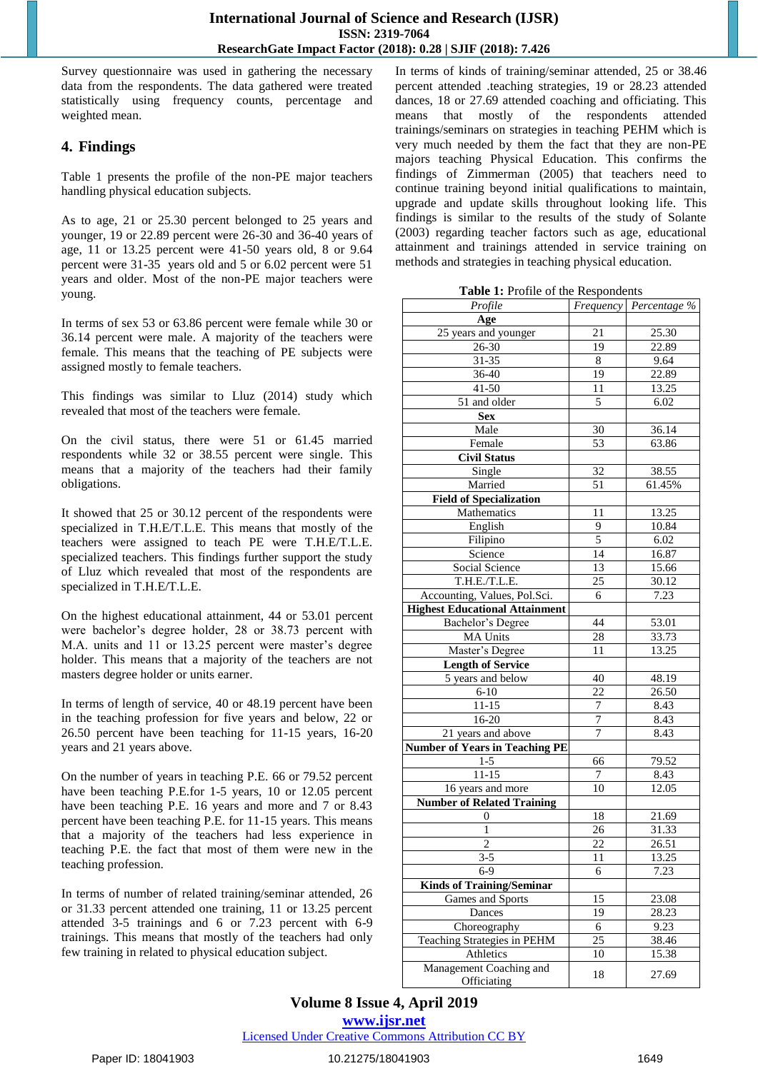Survey questionnaire was used in gathering the necessary data from the respondents. The data gathered were treated statistically using frequency counts, percentage and weighted mean.

## **4. Findings**

Table 1 presents the profile of the non-PE major teachers handling physical education subjects.

As to age, 21 or 25.30 percent belonged to 25 years and younger, 19 or 22.89 percent were 26-30 and 36-40 years of age, 11 or 13.25 percent were 41-50 years old, 8 or 9.64 percent were 31-35 years old and 5 or 6.02 percent were 51 years and older. Most of the non-PE major teachers were young.

In terms of sex 53 or 63.86 percent were female while 30 or 36.14 percent were male. A majority of the teachers were female. This means that the teaching of PE subjects were assigned mostly to female teachers.

This findings was similar to Lluz (2014) study which revealed that most of the teachers were female.

On the civil status, there were 51 or 61.45 married respondents while 32 or 38.55 percent were single. This means that a majority of the teachers had their family obligations.

It showed that 25 or 30.12 percent of the respondents were specialized in T.H.E/T.L.E. This means that mostly of the teachers were assigned to teach PE were T.H.E/T.L.E. specialized teachers. This findings further support the study of Lluz which revealed that most of the respondents are specialized in T.H.E/T.L.E.

On the highest educational attainment, 44 or 53.01 percent were bachelor's degree holder, 28 or 38.73 percent with M.A. units and 11 or 13.25 percent were master's degree holder. This means that a majority of the teachers are not masters degree holder or units earner.

In terms of length of service, 40 or 48.19 percent have been in the teaching profession for five years and below, 22 or 26.50 percent have been teaching for 11-15 years, 16-20 years and 21 years above.

On the number of years in teaching P.E. 66 or 79.52 percent have been teaching P.E.for 1-5 years, 10 or 12.05 percent have been teaching P.E. 16 years and more and 7 or 8.43 percent have been teaching P.E. for 11-15 years. This means that a majority of the teachers had less experience in teaching P.E. the fact that most of them were new in the teaching profession.

In terms of number of related training/seminar attended, 26 or 31.33 percent attended one training, 11 or 13.25 percent attended 3-5 trainings and 6 or 7.23 percent with 6-9 trainings. This means that mostly of the teachers had only few training in related to physical education subject.

In terms of kinds of training/seminar attended, 25 or 38.46 percent attended .teaching strategies, 19 or 28.23 attended dances, 18 or 27.69 attended coaching and officiating. This means that mostly of the respondents attended trainings/seminars on strategies in teaching PEHM which is very much needed by them the fact that they are non-PE majors teaching Physical Education. This confirms the findings of Zimmerman (2005) that teachers need to continue training beyond initial qualifications to maintain, upgrade and update skills throughout looking life. This findings is similar to the results of the study of Solante (2003) regarding teacher factors such as age, educational attainment and trainings attended in service training on methods and strategies in teaching physical education.

|  |  | Table 1: Profile of the Respondents |
|--|--|-------------------------------------|
|  |  |                                     |

| <b>Table 1:</b> Profile of the Respondents |                 |                        |
|--------------------------------------------|-----------------|------------------------|
| Profile                                    |                 | Frequency Percentage % |
| Age                                        |                 |                        |
| 25 years and younger                       | 21              | 25.30                  |
| $26 - 30$                                  | 19              | 22.89                  |
| $31 - 35$                                  | 8               | 9.64                   |
| 36-40                                      | 19              | 22.89                  |
| 41-50                                      | 11              | 13.25                  |
| 51 and older                               | 5               | 6.02                   |
| <b>Sex</b>                                 |                 |                        |
| Male                                       | 30              | 36.14                  |
| Female                                     | $\overline{53}$ | 63.86                  |
| <b>Civil Status</b>                        |                 |                        |
| Single                                     | 32              | 38.55                  |
| Married                                    | $\overline{51}$ | 61.45%                 |
| <b>Field of Specialization</b>             |                 |                        |
| Mathematics                                | 11              | 13.25                  |
| English                                    |                 | 10.84                  |
| Filipino                                   | 9<br>5          |                        |
|                                            | $1\overline{4}$ | 6.02                   |
| Science                                    |                 | 16.87                  |
| Social Science                             | 13              | 15.66                  |
| $T.H.E.\overline{T.L.E.}$                  | 25              | 30.12                  |
| Accounting, Values, Pol.Sci.               | 6               | 7.23                   |
| <b>Highest Educational Attainment</b>      |                 |                        |
| <b>Bachelor's Degree</b>                   | 44              | 53.01                  |
| <b>MA Units</b>                            | 28              | 33.73                  |
| Master's Degree                            | 11              | 13.25                  |
| <b>Length of Service</b>                   |                 |                        |
| 5 years and below                          | 40              | 48.19                  |
| $6 - 10$                                   | 22              | 26.50                  |
| $11 - 15$                                  | 7               | 8.43                   |
| 16-20                                      | $\overline{7}$  | 8.43                   |
| 21 years and above                         | 7               | 8.43                   |
| <b>Number of Years in Teaching PE</b>      |                 |                        |
| $1-5$                                      | 66              | 79.52                  |
| $11 - 15$                                  | $\overline{7}$  | 8.43                   |
| 16 years and more                          | 10              | 12.05                  |
| <b>Number of Related Training</b>          |                 |                        |
| 0                                          | 18              | 21.69                  |
| 1                                          | $\overline{26}$ | 31.33                  |
| 2                                          | 22              | 26.51                  |
| $3 - 5$                                    | 11              | 13.25                  |
| 6-9                                        | 6               | 7.23                   |
| <b>Kinds of Training/Seminar</b>           |                 |                        |
| Games and Sports                           | 15              | 23.08                  |
| Dances                                     | 19              | 28.23                  |
| Choreography                               | 6               | 9.23                   |
| Teaching Strategies in PEHM                | 25              | 38.46                  |
| Athletics                                  | 10              | 15.38                  |
| Management Coaching and                    |                 |                        |
| Officiating                                | 18              | 27.69                  |

#### **Volume 8 Issue 4, April 2019 www.ijsr.net** Licensed Under Creative Commons Attribution CC BY

Paper ID: 18041903 1649 10.21275/18041903 1649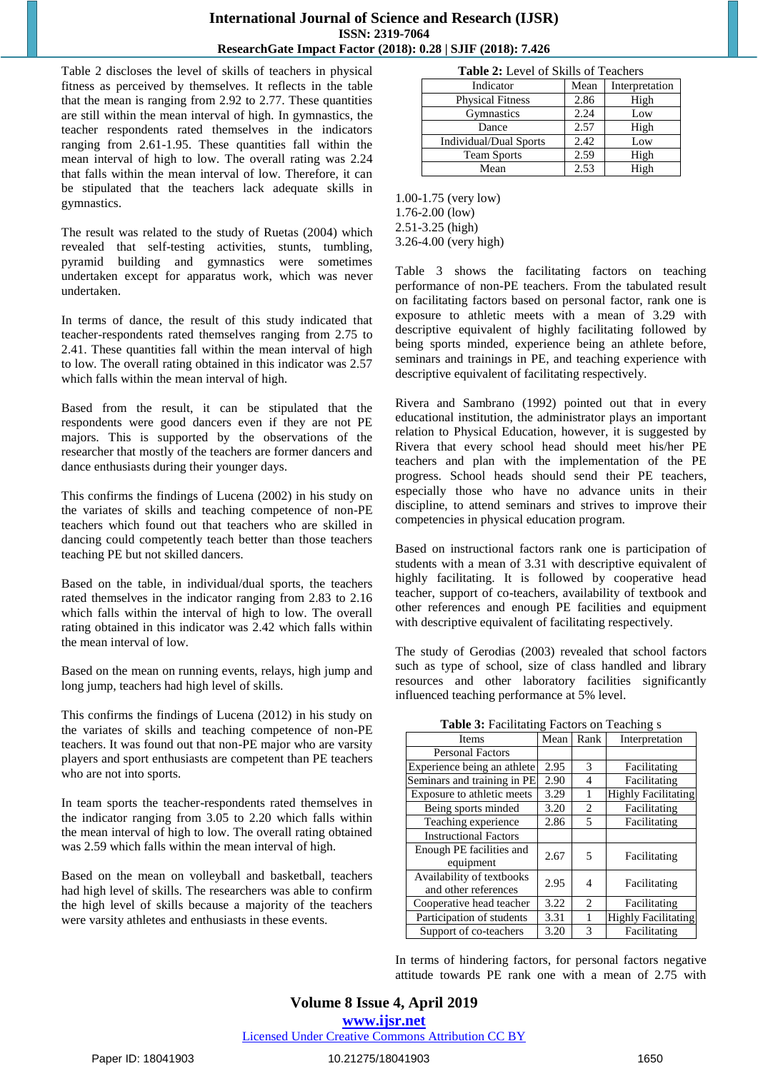#### **International Journal of Science and Research (IJSR) ISSN: 2319-7064 ResearchGate Impact Factor (2018): 0.28 | SJIF (2018): 7.426**

Table 2 discloses the level of skills of teachers in physical fitness as perceived by themselves. It reflects in the table that the mean is ranging from 2.92 to 2.77. These quantities are still within the mean interval of high. In gymnastics, the teacher respondents rated themselves in the indicators ranging from 2.61-1.95. These quantities fall within the mean interval of high to low. The overall rating was 2.24 that falls within the mean interval of low. Therefore, it can be stipulated that the teachers lack adequate skills in gymnastics.

The result was related to the study of Ruetas (2004) which revealed that self-testing activities, stunts, tumbling, pyramid building and gymnastics were sometimes undertaken except for apparatus work, which was never undertaken.

In terms of dance, the result of this study indicated that teacher-respondents rated themselves ranging from 2.75 to 2.41. These quantities fall within the mean interval of high to low. The overall rating obtained in this indicator was 2.57 which falls within the mean interval of high.

Based from the result, it can be stipulated that the respondents were good dancers even if they are not PE majors. This is supported by the observations of the researcher that mostly of the teachers are former dancers and dance enthusiasts during their younger days.

This confirms the findings of Lucena (2002) in his study on the variates of skills and teaching competence of non-PE teachers which found out that teachers who are skilled in dancing could competently teach better than those teachers teaching PE but not skilled dancers.

Based on the table, in individual/dual sports, the teachers rated themselves in the indicator ranging from 2.83 to 2.16 which falls within the interval of high to low. The overall rating obtained in this indicator was 2.42 which falls within the mean interval of low.

Based on the mean on running events, relays, high jump and long jump, teachers had high level of skills.

This confirms the findings of Lucena (2012) in his study on the variates of skills and teaching competence of non-PE teachers. It was found out that non-PE major who are varsity players and sport enthusiasts are competent than PE teachers who are not into sports.

In team sports the teacher-respondents rated themselves in the indicator ranging from 3.05 to 2.20 which falls within the mean interval of high to low. The overall rating obtained was 2.59 which falls within the mean interval of high.

Based on the mean on volleyball and basketball, teachers had high level of skills. The researchers was able to confirm the high level of skills because a majority of the teachers were varsity athletes and enthusiasts in these events.

| <b>Table 2:</b> Level of Skills of Teachers |
|---------------------------------------------|
|---------------------------------------------|

| Indicator                     | Mean | Interpretation |
|-------------------------------|------|----------------|
| <b>Physical Fitness</b>       | 2.86 | High           |
| Gymnastics                    | 2.24 | Low            |
| Dance                         | 2.57 | High           |
| <b>Individual/Dual Sports</b> | 2.42 | Low            |
| <b>Team Sports</b>            | 2.59 | High           |
| Mean                          | 2.53 | High           |

1.00-1.75 (very low) 1.76-2.00 (low) 2.51-3.25 (high) 3.26-4.00 (very high)

Table 3 shows the facilitating factors on teaching performance of non-PE teachers. From the tabulated result on facilitating factors based on personal factor, rank one is exposure to athletic meets with a mean of 3.29 with descriptive equivalent of highly facilitating followed by being sports minded, experience being an athlete before, seminars and trainings in PE, and teaching experience with descriptive equivalent of facilitating respectively.

Rivera and Sambrano (1992) pointed out that in every educational institution, the administrator plays an important relation to Physical Education, however, it is suggested by Rivera that every school head should meet his/her PE teachers and plan with the implementation of the PE progress. School heads should send their PE teachers, especially those who have no advance units in their discipline, to attend seminars and strives to improve their competencies in physical education program.

Based on instructional factors rank one is participation of students with a mean of 3.31 with descriptive equivalent of highly facilitating. It is followed by cooperative head teacher, support of co-teachers, availability of textbook and other references and enough PE facilities and equipment with descriptive equivalent of facilitating respectively.

The study of Gerodias (2003) revealed that school factors such as type of school, size of class handled and library resources and other laboratory facilities significantly influenced teaching performance at 5% level.

**Table 3:** Facilitating Factors on Teaching s

| Items                                             | Mean | Rank           | Interpretation             |
|---------------------------------------------------|------|----------------|----------------------------|
| <b>Personal Factors</b>                           |      |                |                            |
| Experience being an athlete                       | 2.95 | 3              | Facilitating               |
| Seminars and training in PE                       | 2.90 | 4              | Facilitating               |
| Exposure to athletic meets                        | 3.29 | 1              | <b>Highly Facilitating</b> |
| Being sports minded                               | 3.20 | 2              | Facilitating               |
| Teaching experience                               | 2.86 | 5              | Facilitating               |
| <b>Instructional Factors</b>                      |      |                |                            |
| Enough PE facilities and<br>equipment             | 2.67 | 5              | Facilitating               |
| Availability of textbooks<br>and other references | 2.95 | 4              | Facilitating               |
| Cooperative head teacher                          | 3.22 | $\overline{c}$ | Facilitating               |
| Participation of students                         | 3.31 |                | <b>Highly Facilitating</b> |
| Support of co-teachers                            | 3.20 | 3              | Facilitating               |

In terms of hindering factors, for personal factors negative attitude towards PE rank one with a mean of 2.75 with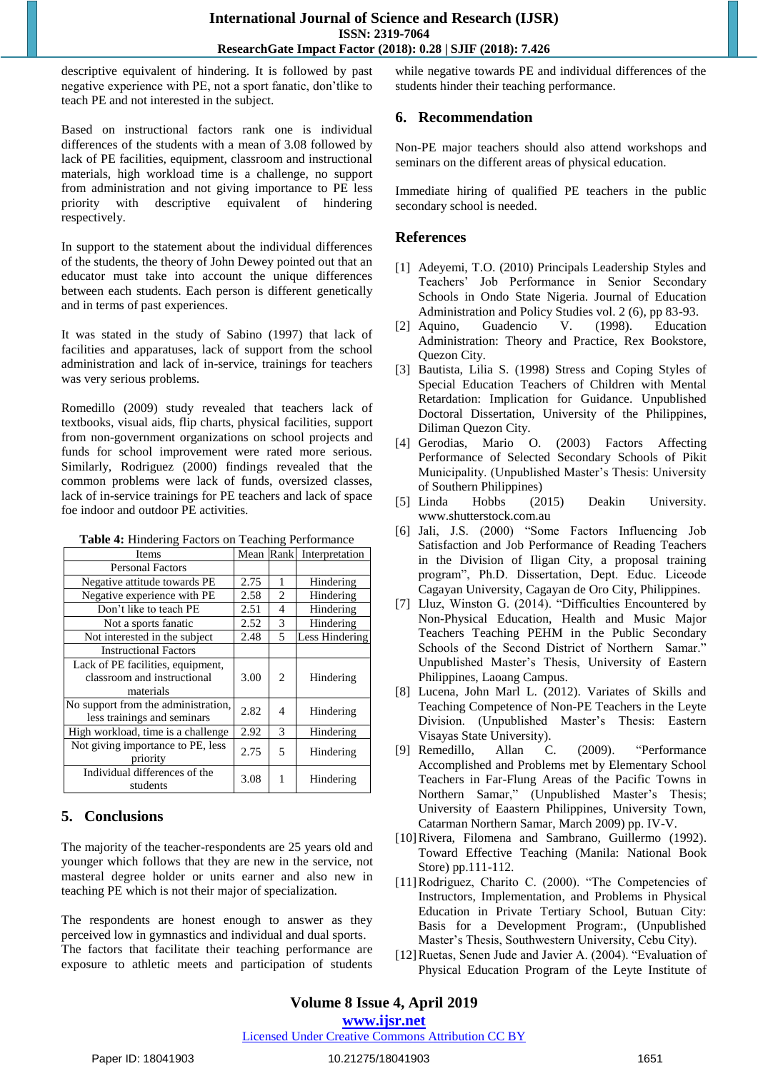descriptive equivalent of hindering. It is followed by past negative experience with PE, not a sport fanatic, don'tlike to teach PE and not interested in the subject.

Based on instructional factors rank one is individual differences of the students with a mean of 3.08 followed by lack of PE facilities, equipment, classroom and instructional materials, high workload time is a challenge, no support from administration and not giving importance to PE less priority with descriptive equivalent of hindering respectively.

In support to the statement about the individual differences of the students, the theory of John Dewey pointed out that an educator must take into account the unique differences between each students. Each person is different genetically and in terms of past experiences.

It was stated in the study of Sabino (1997) that lack of facilities and apparatuses, lack of support from the school administration and lack of in-service, trainings for teachers was very serious problems.

Romedillo (2009) study revealed that teachers lack of textbooks, visual aids, flip charts, physical facilities, support from non-government organizations on school projects and funds for school improvement were rated more serious. Similarly, Rodriguez (2000) findings revealed that the common problems were lack of funds, oversized classes, lack of in-service trainings for PE teachers and lack of space foe indoor and outdoor PE activities.

| Table 4: Hindering Factors on Teaching Performance |  |
|----------------------------------------------------|--|
|----------------------------------------------------|--|

| <b>Tuble</b> 1. Thingering I actord on Teaching I cribitimate |      |                |                |  |  |
|---------------------------------------------------------------|------|----------------|----------------|--|--|
| Items                                                         | Mean | Rank           | Interpretation |  |  |
| <b>Personal Factors</b>                                       |      |                |                |  |  |
| Negative attitude towards PE                                  | 2.75 | 1              | Hindering      |  |  |
| Negative experience with PE                                   | 2.58 | $\overline{c}$ | Hindering      |  |  |
| Don't like to teach PE                                        | 2.51 | 4              | Hindering      |  |  |
| Not a sports fanatic                                          | 2.52 | 3              | Hindering      |  |  |
| Not interested in the subject                                 | 2.48 | 5              | Less Hindering |  |  |
| <b>Instructional Factors</b>                                  |      |                |                |  |  |
| Lack of PE facilities, equipment,                             |      |                |                |  |  |
| classroom and instructional                                   | 3.00 | 2              | Hindering      |  |  |
| materials                                                     |      |                |                |  |  |
| No support from the administration,                           | 2.82 | 4              | Hindering      |  |  |
| less trainings and seminars                                   |      |                |                |  |  |
| High workload, time is a challenge                            | 2.92 | 3              | Hindering      |  |  |
| Not giving importance to PE, less                             | 2.75 | 5              | Hindering      |  |  |
| priority                                                      |      |                |                |  |  |
| Individual differences of the                                 | 3.08 | 1              | Hindering      |  |  |
| students                                                      |      |                |                |  |  |

## **5. Conclusions**

The majority of the teacher-respondents are 25 years old and younger which follows that they are new in the service, not masteral degree holder or units earner and also new in teaching PE which is not their major of specialization.

The respondents are honest enough to answer as they perceived low in gymnastics and individual and dual sports. The factors that facilitate their teaching performance are exposure to athletic meets and participation of students

while negative towards PE and individual differences of the students hinder their teaching performance.

#### **6. Recommendation**

Non-PE major teachers should also attend workshops and seminars on the different areas of physical education.

Immediate hiring of qualified PE teachers in the public secondary school is needed.

#### **References**

- [1] Adeyemi, T.O. (2010) Principals Leadership Styles and Teachers' Job Performance in Senior Secondary Schools in Ondo State Nigeria. Journal of Education Administration and Policy Studies vol. 2 (6), pp 83-93.
- [2] Aquino, Guadencio V. (1998). Education Administration: Theory and Practice, Rex Bookstore, Quezon City.
- [3] Bautista, Lilia S. (1998) Stress and Coping Styles of Special Education Teachers of Children with Mental Retardation: Implication for Guidance. Unpublished Doctoral Dissertation, University of the Philippines, Diliman Quezon City.
- [4] Gerodias, Mario O. (2003) Factors Affecting Performance of Selected Secondary Schools of Pikit Municipality. (Unpublished Master's Thesis: University of Southern Philippines)
- [5] Linda Hobbs (2015) Deakin University. www.shutterstock.com.au
- [6] Jali, J.S. (2000) "Some Factors Influencing Job Satisfaction and Job Performance of Reading Teachers in the Division of Iligan City, a proposal training program", Ph.D. Dissertation, Dept. Educ. Liceode Cagayan University, Cagayan de Oro City, Philippines.
- [7] Lluz, Winston G. (2014). "Difficulties Encountered by Non-Physical Education, Health and Music Major Teachers Teaching PEHM in the Public Secondary Schools of the Second District of Northern Samar." Unpublished Master's Thesis, University of Eastern Philippines, Laoang Campus.
- [8] Lucena, John Marl L. (2012). Variates of Skills and Teaching Competence of Non-PE Teachers in the Leyte Division. (Unpublished Master's Thesis: Eastern Visayas State University).
- [9] Remedillo, Allan C. (2009). "Performance Accomplished and Problems met by Elementary School Teachers in Far-Flung Areas of the Pacific Towns in Northern Samar," (Unpublished Master's Thesis; University of Eaastern Philippines, University Town, Catarman Northern Samar, March 2009) pp. IV-V.
- [10]Rivera, Filomena and Sambrano, Guillermo (1992). Toward Effective Teaching (Manila: National Book Store) pp.111-112.
- [11]Rodriguez, Charito C. (2000). "The Competencies of Instructors, Implementation, and Problems in Physical Education in Private Tertiary School, Butuan City: Basis for a Development Program:, (Unpublished Master's Thesis, Southwestern University, Cebu City).
- [12] Ruetas, Senen Jude and Javier A. (2004). "Evaluation of Physical Education Program of the Leyte Institute of

Licensed Under Creative Commons Attribution CC BY